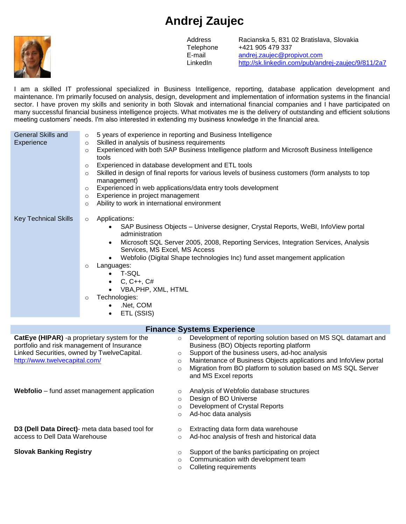## **Andrej Zaujec**



E-mail LinkedIn

Address Racianska 5, 831 02 Bratislava, Slovakia Telephone +421 905 479 337 [andrej.zaujec@propivot.com](mailto:andrej.zaujec@propivot.com) <http://sk.linkedin.com/pub/andrej-zaujec/9/811/2a7>

I am a skilled IT professional specialized in Business Intelligence, reporting, database application development and maintenance. I'm primarily focused on analysis, design, development and implementation of information systems in the financial sector. I have proven my skills and seniority in both Slovak and international financial companies and I have participated on many successful financial business intelligence projects. What motivates me is the delivery of outstanding and efficient solutions meeting customers' needs. I'm also interested in extending my business knowledge in the financial area.

| <b>General Skills and</b><br>Experience                                                                                   | 5 years of experience in reporting and Business Intelligence<br>$\circ$<br>Skilled in analysis of business requirements<br>$\circ$<br>Experienced with both SAP Business Intelligence platform and Microsoft Business Intelligence<br>$\circ$<br>tools<br>Experienced in database development and ETL tools<br>$\circ$<br>Skilled in design of final reports for various levels of business customers (form analysts to top<br>$\circ$<br>management)<br>Experienced in web applications/data entry tools development<br>$\circ$<br>Experience in project management<br>$\circ$<br>Ability to work in international environment<br>$\circ$ |
|---------------------------------------------------------------------------------------------------------------------------|--------------------------------------------------------------------------------------------------------------------------------------------------------------------------------------------------------------------------------------------------------------------------------------------------------------------------------------------------------------------------------------------------------------------------------------------------------------------------------------------------------------------------------------------------------------------------------------------------------------------------------------------|
| <b>Key Technical Skills</b>                                                                                               | Applications:<br>$\circ$<br>SAP Business Objects - Universe designer, Crystal Reports, WeBI, InfoView portal<br>administration<br>Microsoft SQL Server 2005, 2008, Reporting Services, Integration Services, Analysis<br>$\bullet$<br>Services, MS Excel, MS Access<br>Webfolio (Digital Shape technologies Inc) fund asset mangement application<br>$\bullet$<br>Languages:<br>$\circ$<br>T-SQL<br>$\bullet$<br>$C, C++, C#$<br>$\bullet$<br>VBA, PHP, XML, HTML<br>Technologies:<br>$\circ$<br>.Net, COM<br>$\bullet$<br>ETL (SSIS)<br>$\bullet$                                                                                         |
|                                                                                                                           | <b>Finance Systems Experience</b>                                                                                                                                                                                                                                                                                                                                                                                                                                                                                                                                                                                                          |
| portfolio and risk management of Insurance<br>Linked Securities, owned by TwelveCapital.<br>http://www.twelvecapital.com/ | CatEye (HIPAR) -a proprietary system for the<br>Development of reporting solution based on MS SQL datamart and<br>$\circ$<br>Business (BO) Objects reporting platform<br>Support of the business users, ad-hoc analysis<br>$\circ$<br>Maintenance of Business Objects applications and InfoView portal<br>$\circ$<br>Migration from BO platform to solution based on MS SQL Server<br>$\circ$<br>and MS Excel reports                                                                                                                                                                                                                      |

**Webfolio** – fund asset management application o Analysis of Webfolio database structures

- 
- o Design of BO Universe
- o Development of Crystal Reports
- o Ad-hoc data analysis
- **D3 (Dell Data Direct)** meta data based tool for access to Dell Data Warehouse

- **Slovak Banking Registry Support of the banks participating on project** of the banks participating on project
	- o Communication with development team

o Extracting data form data warehouse o Ad-hoc analysis of fresh and historical data

o Colleting requirements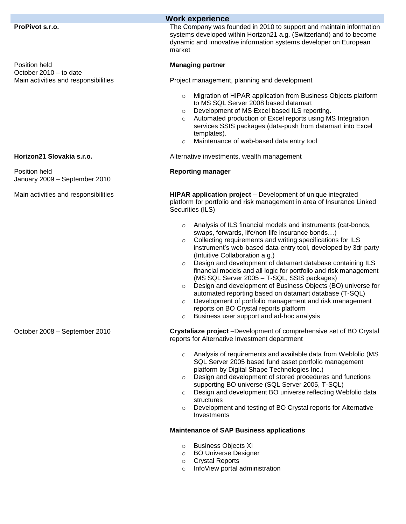| <b>Work experience</b>                         |                                                                                                                                                                                                                                                                                                                                                                                                                                                                                                                                                                                                                                                                                                                                                                                                                  |  |  |  |
|------------------------------------------------|------------------------------------------------------------------------------------------------------------------------------------------------------------------------------------------------------------------------------------------------------------------------------------------------------------------------------------------------------------------------------------------------------------------------------------------------------------------------------------------------------------------------------------------------------------------------------------------------------------------------------------------------------------------------------------------------------------------------------------------------------------------------------------------------------------------|--|--|--|
| ProPivot s.r.o.                                | The Company was founded in 2010 to support and maintain information<br>systems developed within Horizon21 a.g. (Switzerland) and to become<br>dynamic and innovative information systems developer on European<br>market                                                                                                                                                                                                                                                                                                                                                                                                                                                                                                                                                                                         |  |  |  |
| Position held<br>October 2010 - to date        | <b>Managing partner</b>                                                                                                                                                                                                                                                                                                                                                                                                                                                                                                                                                                                                                                                                                                                                                                                          |  |  |  |
| Main activities and responsibilities           | Project management, planning and development                                                                                                                                                                                                                                                                                                                                                                                                                                                                                                                                                                                                                                                                                                                                                                     |  |  |  |
|                                                | Migration of HIPAR application from Business Objects platform<br>$\circ$<br>to MS SQL Server 2008 based datamart<br>Development of MS Excel based ILS reporting.<br>$\circ$<br>Automated production of Excel reports using MS Integration<br>$\circ$<br>services SSIS packages (data-push from datamart into Excel<br>templates).<br>Maintenance of web-based data entry tool<br>$\circ$                                                                                                                                                                                                                                                                                                                                                                                                                         |  |  |  |
| Horizon21 Slovakia s.r.o.                      | Alternative investments, wealth management                                                                                                                                                                                                                                                                                                                                                                                                                                                                                                                                                                                                                                                                                                                                                                       |  |  |  |
| Position held<br>January 2009 - September 2010 | <b>Reporting manager</b>                                                                                                                                                                                                                                                                                                                                                                                                                                                                                                                                                                                                                                                                                                                                                                                         |  |  |  |
| Main activities and responsibilities           | HIPAR application project – Development of unique integrated<br>platform for portfolio and risk management in area of Insurance Linked<br>Securities (ILS)                                                                                                                                                                                                                                                                                                                                                                                                                                                                                                                                                                                                                                                       |  |  |  |
|                                                | Analysis of ILS financial models and instruments (cat-bonds,<br>$\circ$<br>swaps, forwards, life/non-life insurance bonds)<br>Collecting requirements and writing specifications for ILS<br>$\circ$<br>instrument's web-based data-entry tool, developed by 3dr party<br>(Intuitive Collaboration a.g.)<br>Design and development of datamart database containing ILS<br>$\circ$<br>financial models and all logic for portfolio and risk management<br>(MS SQL Server 2005 - T-SQL, SSIS packages)<br>Design and development of Business Objects (BO) universe for<br>$\circ$<br>automated reporting based on datamart database (T-SQL)<br>Development of portfolio management and risk management<br>$\circ$<br>reports on BO Crystal reports platform<br>Business user support and ad-hoc analysis<br>$\circ$ |  |  |  |
| October 2008 - September 2010                  | Crystaliaze project -Development of comprehensive set of BO Crystal<br>reports for Alternative Investment department                                                                                                                                                                                                                                                                                                                                                                                                                                                                                                                                                                                                                                                                                             |  |  |  |
|                                                | Analysis of requirements and available data from Webfolio (MS<br>$\circ$<br>SQL Server 2005 based fund asset portfolio management<br>platform by Digital Shape Technologies Inc.)<br>Design and development of stored procedures and functions<br>$\circ$<br>supporting BO universe (SQL Server 2005, T-SQL)<br>Design and development BO universe reflecting Webfolio data<br>$\circ$<br>structures<br>Development and testing of BO Crystal reports for Alternative<br>$\circ$<br>Investments<br><b>Maintenance of SAP Business applications</b><br><b>Business Objects XI</b><br>$\circ$<br><b>BO Universe Designer</b><br>$\circ$                                                                                                                                                                            |  |  |  |
|                                                | <b>Crystal Reports</b><br>$\circ$                                                                                                                                                                                                                                                                                                                                                                                                                                                                                                                                                                                                                                                                                                                                                                                |  |  |  |

o InfoView portal administration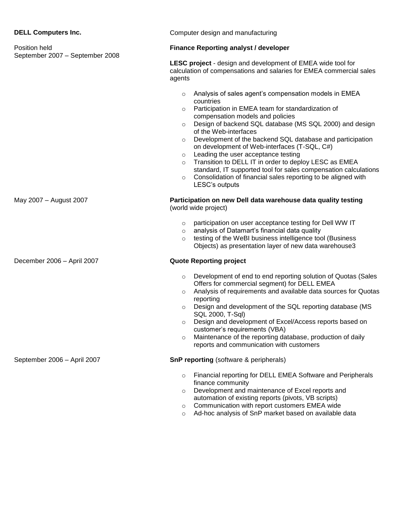|  | <b>DELL Computers Inc.</b> |  |
|--|----------------------------|--|
|--|----------------------------|--|

| Position held<br>September 2007 - September 2008 | <b>Finance Reporting analyst / developer</b>                                                                                                                                                                                                                                                                                                                                                                                                                                                                                                                                                                                                                                                    |  |
|--------------------------------------------------|-------------------------------------------------------------------------------------------------------------------------------------------------------------------------------------------------------------------------------------------------------------------------------------------------------------------------------------------------------------------------------------------------------------------------------------------------------------------------------------------------------------------------------------------------------------------------------------------------------------------------------------------------------------------------------------------------|--|
|                                                  | LESC project - design and development of EMEA wide tool for<br>calculation of compensations and salaries for EMEA commercial sales<br>agents                                                                                                                                                                                                                                                                                                                                                                                                                                                                                                                                                    |  |
|                                                  | Analysis of sales agent's compensation models in EMEA<br>$\circ$<br>countries<br>Participation in EMEA team for standardization of<br>$\circ$<br>compensation models and policies<br>Design of backend SQL database (MS SQL 2000) and design<br>$\circ$<br>of the Web-interfaces<br>Development of the backend SQL database and participation<br>$\circ$<br>on development of Web-interfaces (T-SQL, C#)<br>Leading the user acceptance testing<br>$\circ$<br>Transition to DELL IT in order to deploy LESC as EMEA<br>$\circ$<br>standard, IT supported tool for sales compensation calculations<br>Consolidation of financial sales reporting to be aligned with<br>$\circ$<br>LESC's outputs |  |
| May 2007 - August 2007                           | Participation on new Dell data warehouse data quality testing<br>(world wide project)<br>participation on user acceptance testing for Dell WW IT<br>$\circ$<br>analysis of Datamart's financial data quality<br>$\circ$<br>testing of the WeBI business intelligence tool (Business<br>Objects) as presentation layer of new data warehouse3                                                                                                                                                                                                                                                                                                                                                    |  |
| December 2006 - April 2007                       | <b>Quote Reporting project</b><br>Development of end to end reporting solution of Quotas (Sales<br>$\circ$<br>Offers for commercial segment) for DELL EMEA<br>Analysis of requirements and available data sources for Quotas<br>$\circ$<br>reporting<br>Design and development of the SQL reporting database (MS<br>$\circ$<br>SQL 2000, T-Sql)<br>Design and development of Excel/Access reports based on<br>$\circ$<br>customer's requirements (VBA)<br>Maintenance of the reporting database, production of daily<br>reports and communication with customers                                                                                                                                |  |
| September 2006 - April 2007                      | <b>SnP reporting (software &amp; peripherals)</b><br>Financial reporting for DELL EMEA Software and Peripherals<br>$\circ$<br>finance community<br>Development and maintenance of Excel reports and<br>$\circ$<br>automation of existing reports (pivots, VB scripts)<br>Communication with report customers EMEA wide<br>$\circ$<br>Ad-hoc analysis of SnP market based on available data<br>$\circ$                                                                                                                                                                                                                                                                                           |  |

**Computer design and manufacturing**